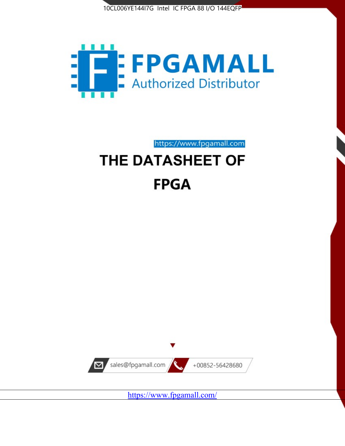



# https://www.fpgamall.com THE DATASHEET OF

# **FPGA**



https://www.fpgamall.com/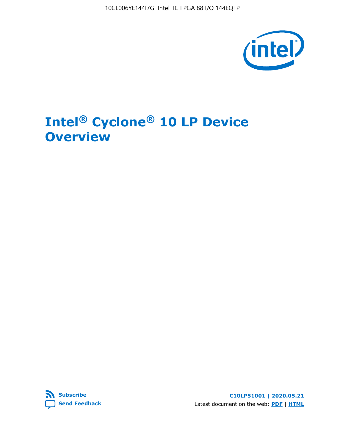10CL006YE144I7G Intel IC FPGA 88 I/O 144EQFP



# **Intel® Cyclone® 10 LP Device Overview**



**C10LP51001 | 2020.05.21** Latest document on the web: **[PDF](https://www.intel.com/content/dam/www/programmable/us/en/pdfs/literature/hb/cyclone-10/c10lp-51001.pdf)** | **[HTML](https://www.intel.com/content/www/us/en/programmable/documentation/hci1490246873896.html)**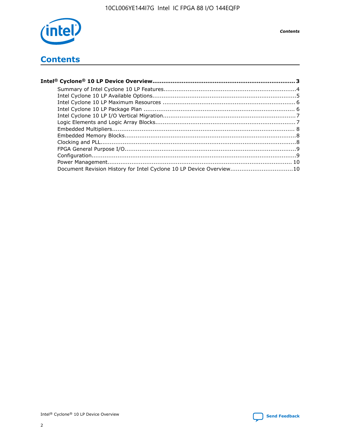

## **Contents**

| Document Revision History for Intel Cyclone 10 LP Device Overview10 |  |
|---------------------------------------------------------------------|--|
|                                                                     |  |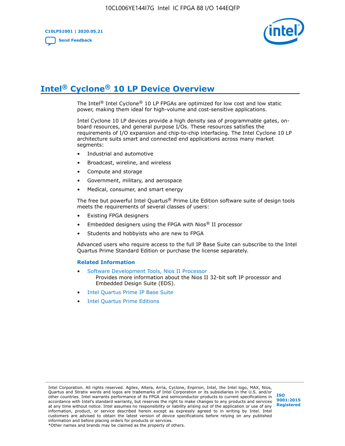

## **Intel® Cyclone® 10 LP Device Overview**

The Intel® Intel Cyclone® 10 LP FPGAs are optimized for low cost and low static power, making them ideal for high-volume and cost-sensitive applications.

Intel Cyclone 10 LP devices provide a high density sea of programmable gates, onboard resources, and general purpose I/Os. These resources satisfies the requirements of I/O expansion and chip-to-chip interfacing. The Intel Cyclone 10 LP architecture suits smart and connected end applications across many market segments:

- Industrial and automotive
- Broadcast, wireline, and wireless
- Compute and storage
- Government, military, and aerospace
- Medical, consumer, and smart energy

The free but powerful Intel Quartus® Prime Lite Edition software suite of design tools meets the requirements of several classes of users:

- Existing FPGA designers
- Embedded designers using the FPGA with Nios® II processor
- Students and hobbyists who are new to FPGA

Advanced users who require access to the full IP Base Suite can subscribe to the Intel Quartus Prime Standard Edition or purchase the license separately.

#### **Related Information**

- [Software Development Tools, Nios II Processor](https://www.altera.com/products/processors/design-tools.html) Provides more information about the Nios II 32-bit soft IP processor and Embedded Design Suite (EDS).
- [Intel Quartus Prime IP Base Suite](https://www.altera.com/products/intellectual-property/design/ip-base-suite.html)
- **[Intel Quartus Prime Editions](https://www.altera.com/products/design-software/fpga-design/quartus-prime/download.html)**

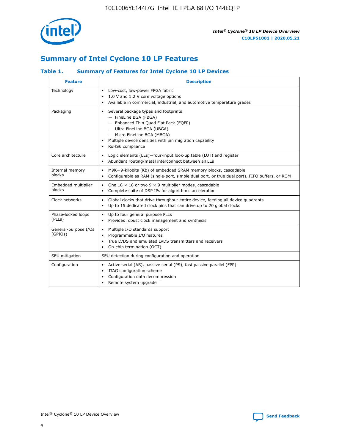

## **Summary of Intel Cyclone 10 LP Features**

#### **Table 1. Summary of Features for Intel Cyclone 10 LP Devices**

| <b>Feature</b>                  | <b>Description</b>                                                                                                                                                                                                                                        |
|---------------------------------|-----------------------------------------------------------------------------------------------------------------------------------------------------------------------------------------------------------------------------------------------------------|
| Technology                      | Low-cost, low-power FPGA fabric<br>$\bullet$<br>1.0 V and 1.2 V core voltage options<br>Available in commercial, industrial, and automotive temperature grades                                                                                            |
| Packaging                       | Several package types and footprints:<br>٠<br>- FineLine BGA (FBGA)<br>- Enhanced Thin Quad Flat Pack (EQFP)<br>- Ultra FineLine BGA (UBGA)<br>- Micro FineLine BGA (MBGA)<br>Multiple device densities with pin migration capability<br>RoHS6 compliance |
| Core architecture               | Logic elements (LEs)-four-input look-up table (LUT) and register<br>٠<br>Abundant routing/metal interconnect between all LEs<br>٠                                                                                                                         |
| Internal memory<br>blocks       | M9K-9-kilobits (Kb) of embedded SRAM memory blocks, cascadable<br>$\bullet$<br>Configurable as RAM (single-port, simple dual port, or true dual port), FIFO buffers, or ROM<br>٠                                                                          |
| Embedded multiplier<br>blocks   | One $18 \times 18$ or two 9 $\times$ 9 multiplier modes, cascadable<br>$\bullet$<br>Complete suite of DSP IPs for algorithmic acceleration<br>$\bullet$                                                                                                   |
| Clock networks                  | Global clocks that drive throughout entire device, feeding all device quadrants<br>٠<br>Up to 15 dedicated clock pins that can drive up to 20 global clocks<br>$\bullet$                                                                                  |
| Phase-locked loops<br>(PLLs)    | Up to four general purpose PLLs<br>٠<br>Provides robust clock management and synthesis<br>$\bullet$                                                                                                                                                       |
| General-purpose I/Os<br>(GPIOs) | Multiple I/O standards support<br>$\bullet$<br>Programmable I/O features<br>$\bullet$<br>True LVDS and emulated LVDS transmitters and receivers<br>٠<br>On-chip termination (OCT)                                                                         |
| SEU mitigation                  | SEU detection during configuration and operation                                                                                                                                                                                                          |
| Configuration                   | Active serial (AS), passive serial (PS), fast passive parallel (FPP)<br>$\bullet$<br>JTAG configuration scheme<br>٠<br>Configuration data decompression<br>Remote system upgrade<br>٠                                                                     |

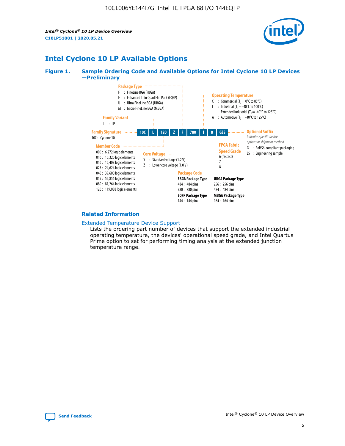*Intel® Cyclone® 10 LP Device Overview* **C10LP51001 | 2020.05.21**



## **Intel Cyclone 10 LP Available Options**

#### **Figure 1. Sample Ordering Code and Available Options for Intel Cyclone 10 LP Devices —Preliminary**



#### **Related Information**

#### [Extended Temperature Device Support](https://www.intel.com/content/www/us/en/products/programmable/temperature.html)

Lists the ordering part number of devices that support the extended industrial operating temperature, the devices' operational speed grade, and Intel Quartus Prime option to set for performing timing analysis at the extended junction temperature range.

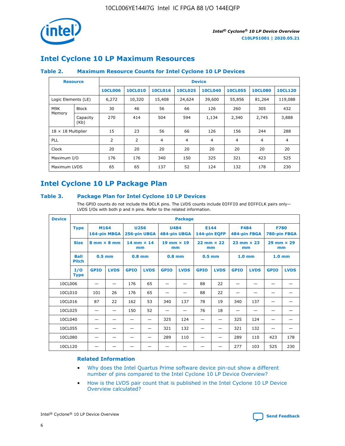

## **Intel Cyclone 10 LP Maximum Resources**

#### **Table 2. Maximum Resource Counts for Intel Cyclone 10 LP Devices**

|                           | <b>Resource</b>  | <b>Device</b>  |                |                |                |                |                |                |                |
|---------------------------|------------------|----------------|----------------|----------------|----------------|----------------|----------------|----------------|----------------|
|                           |                  | <b>10CL006</b> | <b>10CL010</b> | <b>10CL016</b> | <b>10CL025</b> | <b>10CL040</b> | <b>10CL055</b> | <b>10CL080</b> | <b>10CL120</b> |
| Logic Elements (LE)       |                  | 6,272          | 10,320         | 15,408         | 24,624         | 39,600         | 55,856         | 81,264         | 119,088        |
| M9K                       | <b>Block</b>     | 30             | 46             | 56             | 66             | 126            | 260            | 305            | 432            |
| Memory                    | Capacity<br>(Kb) | 270            | 414            | 504            | 594            | 1,134          | 2,340          | 2,745          | 3,888          |
| $18 \times 18$ Multiplier |                  | 15             | 23             | 56             | 66             | 126            | 156            | 244            | 288            |
| <b>PLL</b>                |                  | 2              | $\overline{2}$ | 4              | 4              | $\overline{4}$ | 4              | 4              | 4              |
| Clock                     |                  | 20             | 20             | 20             | 20             | 20             | 20             | 20             | 20             |
| Maximum I/O               |                  | 176            | 176            | 340            | 150            | 325            | 321            | 423            | 525            |
| Maximum LVDS              |                  | 65             | 65             | 137            | 52             | 124            | 132            | 178            | 230            |

## **Intel Cyclone 10 LP Package Plan**

#### **Table 3. Package Plan for Intel Cyclone 10 LP Devices**

The GPIO counts do not include the DCLK pins. The LVDS counts include DIFFIO and DIFFCLK pairs only-LVDS I/Os with both p and n pins. Refer to the related information.

| <b>Device</b> | <b>Package</b>                                    |             |                           |             |                             |             |                           |             |                             |                   |                             |                   |             |
|---------------|---------------------------------------------------|-------------|---------------------------|-------------|-----------------------------|-------------|---------------------------|-------------|-----------------------------|-------------------|-----------------------------|-------------------|-------------|
|               | M164<br><b>Type</b><br>164-pin MBGA               |             | 256-pin UBGA              | <b>U256</b> | <b>U484</b><br>484-pin UBGA |             | E144<br>144-pin EQFP      |             | <b>F484</b><br>484-pin FBGA |                   | <b>F780</b><br>780-pin FBGA |                   |             |
|               | <b>Size</b><br>$8 \text{ mm} \times 8 \text{ mm}$ |             | $14$ mm $\times$ 14<br>mm |             | $19$ mm $\times$ 19<br>mm   |             | $22$ mm $\times$ 22<br>mm |             | $23$ mm $\times$ 23<br>mm   |                   | $29$ mm $\times$ 29<br>mm   |                   |             |
|               | <b>Ball</b><br><b>Pitch</b>                       | $0.5$ mm    |                           | $0.8$ mm    |                             | $0.8$ mm    |                           | $0.5$ mm    |                             | 1.0 <sub>mm</sub> |                             | 1.0 <sub>mm</sub> |             |
|               | I/O<br><b>Type</b>                                | <b>GPIO</b> | <b>LVDS</b>               | <b>GPIO</b> | <b>LVDS</b>                 | <b>GPIO</b> | <b>LVDS</b>               | <b>GPIO</b> | <b>LVDS</b>                 | <b>GPIO</b>       | <b>LVDS</b>                 | <b>GPIO</b>       | <b>LVDS</b> |
| 10CL006       |                                                   |             |                           | 176         | 65                          |             |                           | 88          | 22                          |                   |                             |                   |             |
| 10CL010       |                                                   | 101         | 26                        | 176         | 65                          |             |                           | 88          | 22                          |                   |                             |                   |             |
| 10CL016       |                                                   | 87          | 22                        | 162         | 53                          | 340         | 137                       | 78          | 19                          | 340               | 137                         |                   |             |
| 10CL025       |                                                   | —           | —                         | 150         | 52                          | —           |                           | 76          | 18                          | -                 | —                           |                   |             |
| 10CL040       |                                                   |             |                           |             |                             | 325         | 124                       |             |                             | 325               | 124                         |                   |             |
| 10CL055       |                                                   |             |                           |             |                             | 321         | 132                       |             |                             | 321               | 132                         |                   |             |
| 10CL080       |                                                   |             |                           |             |                             | 289         | 110                       |             |                             | 289               | 110                         | 423               | 178         |
| 10CL120       |                                                   |             |                           |             |                             |             |                           |             |                             | 277               | 103                         | 525               | 230         |

#### **Related Information**

- [Why does the Intel Quartus Prime software device pin-out show a different](https://www.intel.com/content/altera-www/global/en_us/index/support/support-resources/knowledge-base/component/2020/why-does-intel--quartus--device-pinout-pin-count-shows-a-differe0.html) [number of pins compared to the Intel Cyclone 10 LP Device Overview?](https://www.intel.com/content/altera-www/global/en_us/index/support/support-resources/knowledge-base/component/2020/why-does-intel--quartus--device-pinout-pin-count-shows-a-differe0.html)
- [How is the LVDS pair count that is published in the Intel Cyclone 10 LP Device](https://www.intel.com/content/altera-www/global/en_us/index/support/support-resources/knowledge-base/component/2020/how-is-the-lvds-pair-count-in-intel--cyclone--10-device-overview.html) [Overview calculated?](https://www.intel.com/content/altera-www/global/en_us/index/support/support-resources/knowledge-base/component/2020/how-is-the-lvds-pair-count-in-intel--cyclone--10-device-overview.html)



Intel<sup>®</sup> Cyclone<sup>®</sup> 10 LP Device Overview **[Send Feedback](mailto:FPGAtechdocfeedback@intel.com?subject=Feedback%20on%20Intel%20Cyclone%2010%20LP%20Device%20Overview%20(C10LP51001%202020.05.21)&body=We%20appreciate%20your%20feedback.%20In%20your%20comments,%20also%20specify%20the%20page%20number%20or%20paragraph.%20Thank%20you.)** Send Feedback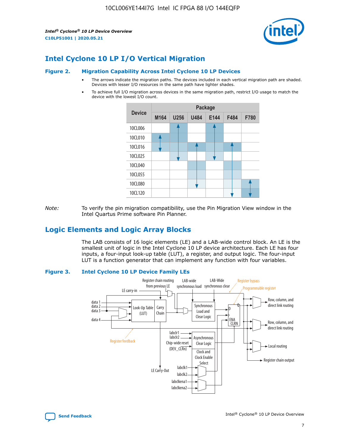*Intel® Cyclone® 10 LP Device Overview* **C10LP51001 | 2020.05.21**



## **Intel Cyclone 10 LP I/O Vertical Migration**

#### **Figure 2. Migration Capability Across Intel Cyclone 10 LP Devices**

- The arrows indicate the migration paths. The devices included in each vertical migration path are shaded. Devices with lesser I/O resources in the same path have lighter shades.
- To achieve full I/O migration across devices in the same migration path, restrict I/O usage to match the device with the lowest I/O count.



*Note:* To verify the pin migration compatibility, use the Pin Migration View window in the Intel Quartus Prime software Pin Planner.

## **Logic Elements and Logic Array Blocks**

The LAB consists of 16 logic elements (LE) and a LAB-wide control block. An LE is the smallest unit of logic in the Intel Cyclone 10 LP device architecture. Each LE has four inputs, a four-input look-up table (LUT), a register, and output logic. The four-input LUT is a function generator that can implement any function with four variables.

#### **Figure 3. Intel Cyclone 10 LP Device Family LEs**



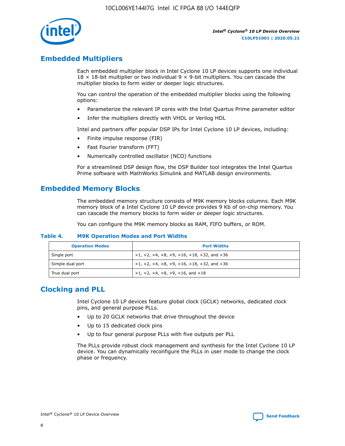

## **Embedded Multipliers**

Each embedded multiplier block in Intel Cyclone 10 LP devices supports one individual  $18 \times 18$ -bit multiplier or two individual 9  $\times$  9-bit multipliers. You can cascade the multiplier blocks to form wider or deeper logic structures.

You can control the operation of the embedded multiplier blocks using the following options:

- Parameterize the relevant IP cores with the Intel Quartus Prime parameter editor
- Infer the multipliers directly with VHDL or Verilog HDL

Intel and partners offer popular DSP IPs for Intel Cyclone 10 LP devices, including:

- Finite impulse response (FIR)
- Fast Fourier transform (FFT)
- Numerically controlled oscillator (NCO) functions

For a streamlined DSP design flow, the DSP Builder tool integrates the Intel Quartus Prime software with MathWorks Simulink and MATLAB design environments.

## **Embedded Memory Blocks**

The embedded memory structure consists of M9K memory blocks columns. Each M9K memory block of a Intel Cyclone 10 LP device provides 9 Kb of on-chip memory. You can cascade the memory blocks to form wider or deeper logic structures.

You can configure the M9K memory blocks as RAM, FIFO buffers, or ROM.

#### **Table 4. M9K Operation Modes and Port Widths**

| <b>Operation Modes</b> | <b>Port Widths</b>                           |
|------------------------|----------------------------------------------|
| Single port            | $x1, x2, x4, x8, x9, x16, x18, x32, and x36$ |
| Simple dual port       | $x1, x2, x4, x8, x9, x16, x18, x32, and x36$ |
| True dual port         | x1, x2, x4, x8, x9, x16, and x18             |

## **Clocking and PLL**

Intel Cyclone 10 LP devices feature global clock (GCLK) networks, dedicated clock pins, and general purpose PLLs.

- Up to 20 GCLK networks that drive throughout the device
- Up to 15 dedicated clock pins
- Up to four general purpose PLLs with five outputs per PLL

The PLLs provide robust clock management and synthesis for the Intel Cyclone 10 LP device. You can dynamically reconfigure the PLLs in user mode to change the clock phase or frequency.

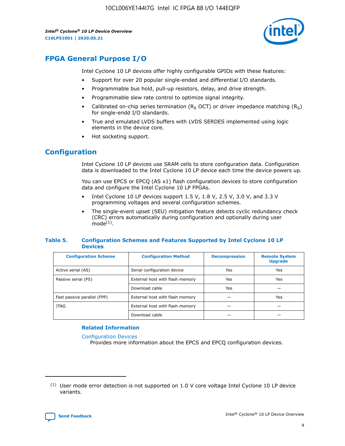10CL006YE144I7G Intel IC FPGA 88 I/O 144EQFP

*Intel® Cyclone® 10 LP Device Overview* **C10LP51001 | 2020.05.21**



## **FPGA General Purpose I/O**

Intel Cyclone 10 LP devices offer highly configurable GPIOs with these features:

- Support for over 20 popular single-ended and differential I/O standards.
- Programmable bus hold, pull-up resistors, delay, and drive strength.
- Programmable slew rate control to optimize signal integrity.
- Calibrated on-chip series termination ( $R<sub>S</sub>$  OCT) or driver impedance matching ( $R<sub>S</sub>$ ) for single-endd I/O standards.
- True and emulated LVDS buffers with LVDS SERDES implemented using logic elements in the device core.
- Hot socketing support.

## **Configuration**

Intel Cyclone 10 LP devices use SRAM cells to store configuration data. Configuration data is downloaded to the Intel Cyclone 10 LP device each time the device powers up.

You can use EPCS or EPCQ (AS x1) flash configuration devices to store configuration data and configure the Intel Cyclone 10 LP FPGAs.

- Intel Cyclone 10 LP devices support 1.5 V, 1.8 V, 2.5 V, 3.0 V, and 3.3 V programming voltages and several configuration schemes.
- The single-event upset (SEU) mitigation feature detects cyclic redundancy check (CRC) errors automatically during configuration and optionally during user  $mode<sup>(1)</sup>$ .

#### **Table 5. Configuration Schemes and Features Supported by Intel Cyclone 10 LP Devices**

| <b>Configuration Scheme</b> | <b>Configuration Method</b>     | <b>Decompression</b> | <b>Remote System</b><br><b>Upgrade</b> |  |
|-----------------------------|---------------------------------|----------------------|----------------------------------------|--|
| Active serial (AS)          | Serial configuration device     | Yes                  | Yes                                    |  |
| Passive serial (PS)         | External host with flash memory | Yes                  | Yes                                    |  |
|                             | Download cable                  | Yes                  |                                        |  |
| Fast passive parallel (FPP) | External host with flash memory |                      | Yes                                    |  |
| JTAG                        | External host with flash memory |                      |                                        |  |
|                             | Download cable                  |                      |                                        |  |

#### **Related Information**

[Configuration Devices](https://www.altera.com/products/configuration-devices/overview.html)

Provides more information about the EPCS and EPCQ configuration devices.

 $(1)$  User mode error detection is not supported on 1.0 V core voltage Intel Cyclone 10 LP device variants.

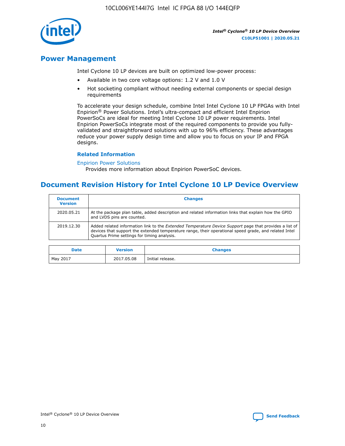

### **Power Management**

Intel Cyclone 10 LP devices are built on optimized low-power process:

- Available in two core voltage options: 1.2 V and 1.0 V
- Hot socketing compliant without needing external components or special design requirements

To accelerate your design schedule, combine Intel Intel Cyclone 10 LP FPGAs with Intel Enpirion® Power Solutions. Intel's ultra-compact and efficient Intel Enpirion PowerSoCs are ideal for meeting Intel Cyclone 10 LP power requirements. Intel Enpirion PowerSoCs integrate most of the required components to provide you fullyvalidated and straightforward solutions with up to 96% efficiency. These advantages reduce your power supply design time and allow you to focus on your IP and FPGA designs.

#### **Related Information**

#### [Enpirion Power Solutions](https://www.altera.com/products/power/devices.html)

Provides more information about Enpirion PowerSoC devices.

### **Document Revision History for Intel Cyclone 10 LP Device Overview**

| <b>Document</b><br><b>Version</b> | <b>Changes</b>                                                                                                                                                                                                                                                        |
|-----------------------------------|-----------------------------------------------------------------------------------------------------------------------------------------------------------------------------------------------------------------------------------------------------------------------|
| 2020.05.21                        | At the package plan table, added description and related information links that explain how the GPIO<br>and LVDS pins are counted.                                                                                                                                    |
| 2019.12.30                        | Added related information link to the <i>Extended Temperature Device Support</i> page that provides a list of<br>devices that support the extended temperature range, their operational speed grade, and related Intel<br>Quartus Prime settings for timing analysis. |

| <b>Date</b> | <b>Version</b> | <b>Changes</b>   |
|-------------|----------------|------------------|
| May 2017    | 2017.05.08     | Initial release. |